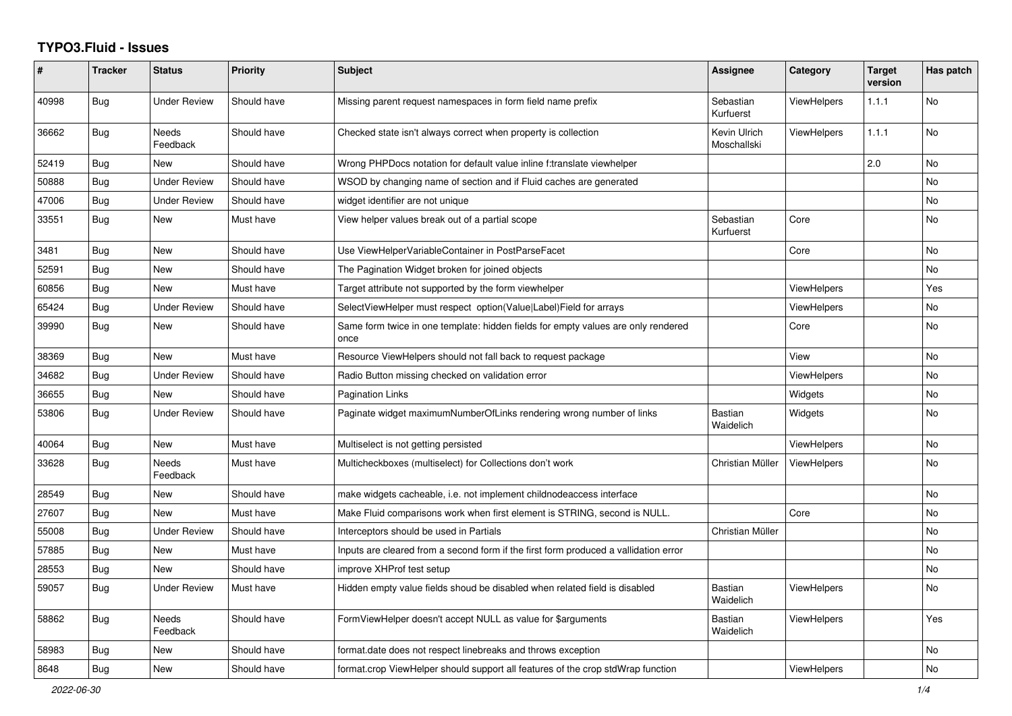## **TYPO3.Fluid - Issues**

| $\#$  | <b>Tracker</b> | <b>Status</b>            | <b>Priority</b> | <b>Subject</b>                                                                            | Assignee                    | Category           | <b>Target</b><br>version | Has patch |
|-------|----------------|--------------------------|-----------------|-------------------------------------------------------------------------------------------|-----------------------------|--------------------|--------------------------|-----------|
| 40998 | Bug            | Under Review             | Should have     | Missing parent request namespaces in form field name prefix                               | Sebastian<br>Kurfuerst      | <b>ViewHelpers</b> | 1.1.1                    | <b>No</b> |
| 36662 | <b>Bug</b>     | <b>Needs</b><br>Feedback | Should have     | Checked state isn't always correct when property is collection                            | Kevin Ulrich<br>Moschallski | <b>ViewHelpers</b> | 1.1.1                    | <b>No</b> |
| 52419 | <b>Bug</b>     | New                      | Should have     | Wrong PHPDocs notation for default value inline f:translate viewhelper                    |                             |                    | 2.0                      | <b>No</b> |
| 50888 | <b>Bug</b>     | <b>Under Review</b>      | Should have     | WSOD by changing name of section and if Fluid caches are generated                        |                             |                    |                          | No        |
| 47006 | <b>Bug</b>     | <b>Under Review</b>      | Should have     | widget identifier are not unique                                                          |                             |                    |                          | No        |
| 33551 | Bug            | New                      | Must have       | View helper values break out of a partial scope                                           | Sebastian<br>Kurfuerst      | Core               |                          | No        |
| 3481  | Bug            | New                      | Should have     | Use ViewHelperVariableContainer in PostParseFacet                                         |                             | Core               |                          | No        |
| 52591 | Bug            | New                      | Should have     | The Pagination Widget broken for joined objects                                           |                             |                    |                          | <b>No</b> |
| 60856 | <b>Bug</b>     | <b>New</b>               | Must have       | Target attribute not supported by the form viewhelper                                     |                             | <b>ViewHelpers</b> |                          | Yes       |
| 65424 | <b>Bug</b>     | Under Review             | Should have     | SelectViewHelper must respect option(Value Label)Field for arrays                         |                             | ViewHelpers        |                          | <b>No</b> |
| 39990 | Bug            | New                      | Should have     | Same form twice in one template: hidden fields for empty values are only rendered<br>once |                             | Core               |                          | <b>No</b> |
| 38369 | Bug            | New                      | Must have       | Resource ViewHelpers should not fall back to request package                              |                             | View               |                          | <b>No</b> |
| 34682 | <b>Bug</b>     | Under Review             | Should have     | Radio Button missing checked on validation error                                          |                             | ViewHelpers        |                          | <b>No</b> |
| 36655 | <b>Bug</b>     | New                      | Should have     | <b>Pagination Links</b>                                                                   |                             | Widgets            |                          | No        |
| 53806 | Bug            | <b>Under Review</b>      | Should have     | Paginate widget maximumNumberOfLinks rendering wrong number of links                      | Bastian<br>Waidelich        | Widgets            |                          | No        |
| 40064 | Bug            | <b>New</b>               | Must have       | Multiselect is not getting persisted                                                      |                             | ViewHelpers        |                          | <b>No</b> |
| 33628 | <b>Bug</b>     | Needs<br>Feedback        | Must have       | Multicheckboxes (multiselect) for Collections don't work                                  | Christian Müller            | <b>ViewHelpers</b> |                          | <b>No</b> |
| 28549 | <b>Bug</b>     | New                      | Should have     | make widgets cacheable, i.e. not implement childnodeaccess interface                      |                             |                    |                          | No        |
| 27607 | <b>Bug</b>     | New                      | Must have       | Make Fluid comparisons work when first element is STRING, second is NULL.                 |                             | Core               |                          | No        |
| 55008 | Bug            | <b>Under Review</b>      | Should have     | Interceptors should be used in Partials                                                   | Christian Müller            |                    |                          | No        |
| 57885 | Bug            | New                      | Must have       | Inputs are cleared from a second form if the first form produced a vallidation error      |                             |                    |                          | No        |
| 28553 | Bug            | New                      | Should have     | improve XHProf test setup                                                                 |                             |                    |                          | <b>No</b> |
| 59057 | Bug            | <b>Under Review</b>      | Must have       | Hidden empty value fields shoud be disabled when related field is disabled                | Bastian<br>Waidelich        | <b>ViewHelpers</b> |                          | <b>No</b> |
| 58862 | <b>Bug</b>     | Needs<br>Feedback        | Should have     | FormViewHelper doesn't accept NULL as value for \$arguments                               | <b>Bastian</b><br>Waidelich | <b>ViewHelpers</b> |                          | Yes       |
| 58983 | Bug            | New                      | Should have     | format.date does not respect linebreaks and throws exception                              |                             |                    |                          | No        |
| 8648  | <b>Bug</b>     | New                      | Should have     | format.crop ViewHelper should support all features of the crop stdWrap function           |                             | ViewHelpers        |                          | No        |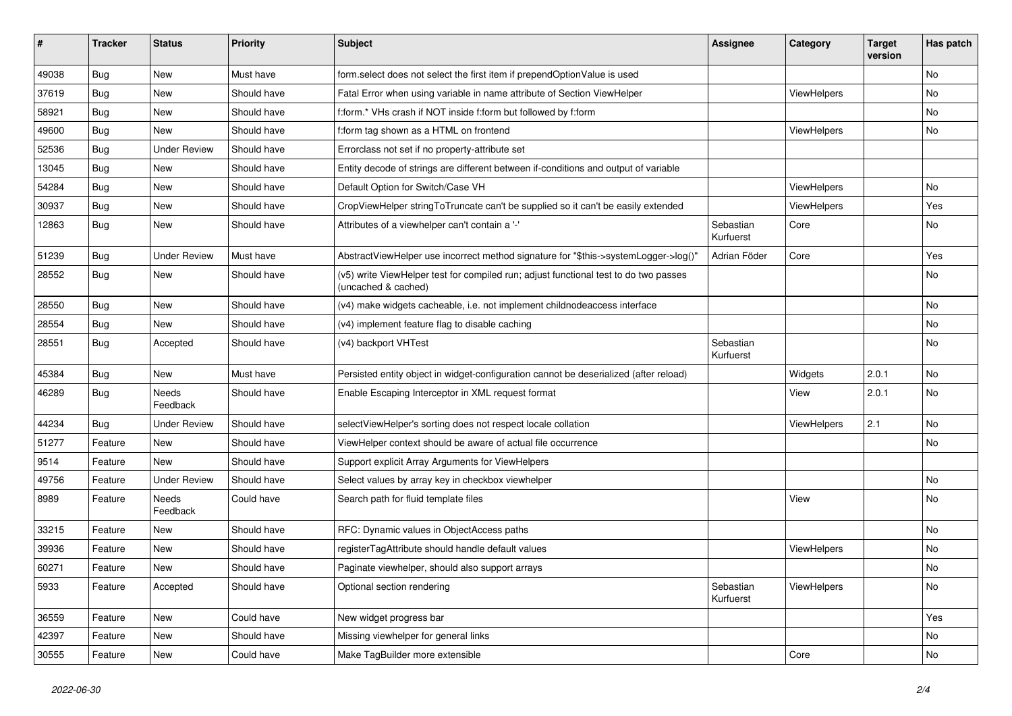| ∦     | <b>Tracker</b> | <b>Status</b>       | <b>Priority</b> | <b>Subject</b>                                                                                              | <b>Assignee</b>        | Category    | <b>Target</b><br>version | Has patch |
|-------|----------------|---------------------|-----------------|-------------------------------------------------------------------------------------------------------------|------------------------|-------------|--------------------------|-----------|
| 49038 | Bug            | New                 | Must have       | form.select does not select the first item if prependOptionValue is used                                    |                        |             |                          | No        |
| 37619 | <b>Bug</b>     | New                 | Should have     | Fatal Error when using variable in name attribute of Section ViewHelper                                     |                        | ViewHelpers |                          | No        |
| 58921 | <b>Bug</b>     | New                 | Should have     | f:form.* VHs crash if NOT inside f:form but followed by f:form                                              |                        |             |                          | No        |
| 49600 | Bug            | <b>New</b>          | Should have     | f:form tag shown as a HTML on frontend                                                                      |                        | ViewHelpers |                          | No        |
| 52536 | <b>Bug</b>     | <b>Under Review</b> | Should have     | Errorclass not set if no property-attribute set                                                             |                        |             |                          |           |
| 13045 | Bug            | <b>New</b>          | Should have     | Entity decode of strings are different between if-conditions and output of variable                         |                        |             |                          |           |
| 54284 | <b>Bug</b>     | New                 | Should have     | Default Option for Switch/Case VH                                                                           |                        | ViewHelpers |                          | No        |
| 30937 | <b>Bug</b>     | New                 | Should have     | CropViewHelper stringToTruncate can't be supplied so it can't be easily extended                            |                        | ViewHelpers |                          | Yes       |
| 12863 | Bug            | New                 | Should have     | Attributes of a viewhelper can't contain a '-'                                                              | Sebastian<br>Kurfuerst | Core        |                          | No        |
| 51239 | <b>Bug</b>     | <b>Under Review</b> | Must have       | AbstractViewHelper use incorrect method signature for "\$this->systemLogger->log()"                         | Adrian Föder           | Core        |                          | Yes       |
| 28552 | Bug            | New                 | Should have     | (v5) write ViewHelper test for compiled run; adjust functional test to do two passes<br>(uncached & cached) |                        |             |                          | No        |
| 28550 | Bug            | New                 | Should have     | (v4) make widgets cacheable, i.e. not implement childnodeaccess interface                                   |                        |             |                          | No        |
| 28554 | <b>Bug</b>     | New                 | Should have     | (v4) implement feature flag to disable caching                                                              |                        |             |                          | No        |
| 28551 | <b>Bug</b>     | Accepted            | Should have     | (v4) backport VHTest                                                                                        | Sebastian<br>Kurfuerst |             |                          | No        |
| 45384 | Bug            | <b>New</b>          | Must have       | Persisted entity object in widget-configuration cannot be deserialized (after reload)                       |                        | Widgets     | 2.0.1                    | No        |
| 46289 | Bug            | Needs<br>Feedback   | Should have     | Enable Escaping Interceptor in XML request format                                                           |                        | View        | 2.0.1                    | No        |
| 44234 | Bug            | <b>Under Review</b> | Should have     | selectViewHelper's sorting does not respect locale collation                                                |                        | ViewHelpers | 2.1                      | No        |
| 51277 | Feature        | <b>New</b>          | Should have     | ViewHelper context should be aware of actual file occurrence                                                |                        |             |                          | No        |
| 9514  | Feature        | New                 | Should have     | Support explicit Array Arguments for ViewHelpers                                                            |                        |             |                          |           |
| 49756 | Feature        | <b>Under Review</b> | Should have     | Select values by array key in checkbox viewhelper                                                           |                        |             |                          | No        |
| 8989  | Feature        | Needs<br>Feedback   | Could have      | Search path for fluid template files                                                                        |                        | View        |                          | No        |
| 33215 | Feature        | New                 | Should have     | RFC: Dynamic values in ObjectAccess paths                                                                   |                        |             |                          | No        |
| 39936 | Feature        | New                 | Should have     | registerTagAttribute should handle default values                                                           |                        | ViewHelpers |                          | No        |
| 60271 | Feature        | New                 | Should have     | Paginate viewhelper, should also support arrays                                                             |                        |             |                          | No        |
| 5933  | Feature        | Accepted            | Should have     | Optional section rendering                                                                                  | Sebastian<br>Kurfuerst | ViewHelpers |                          | No        |
| 36559 | Feature        | New                 | Could have      | New widget progress bar                                                                                     |                        |             |                          | Yes       |
| 42397 | Feature        | New                 | Should have     | Missing viewhelper for general links                                                                        |                        |             |                          | No        |
| 30555 | Feature        | New                 | Could have      | Make TagBuilder more extensible                                                                             |                        | Core        |                          | No        |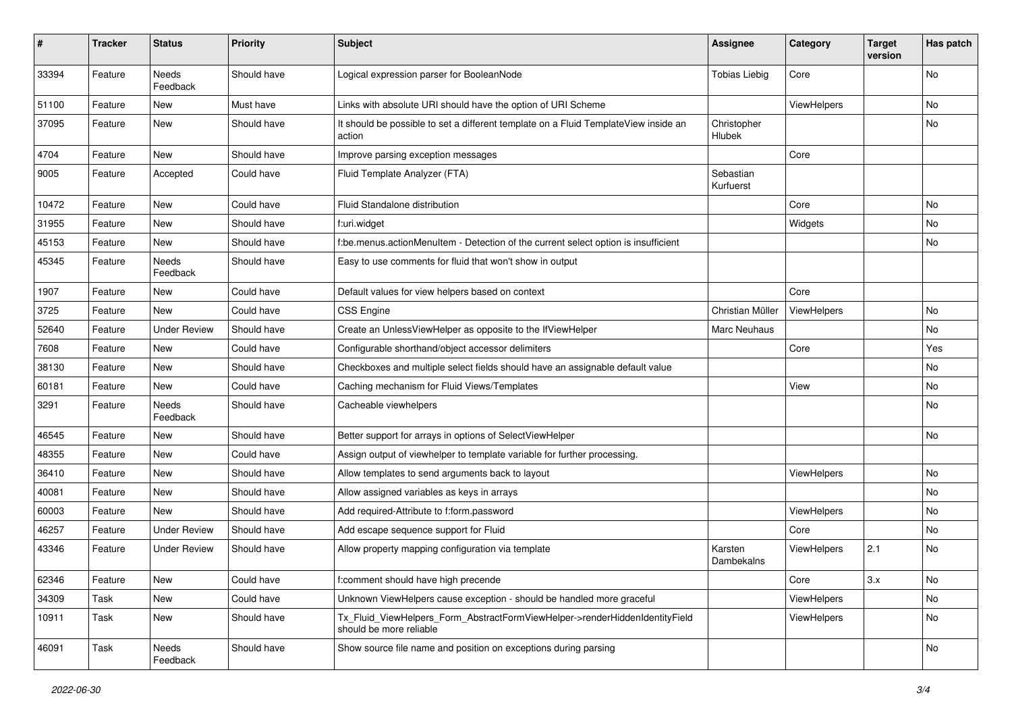| #     | <b>Tracker</b> | <b>Status</b>            | <b>Priority</b> | Subject                                                                                                | <b>Assignee</b>        | Category    | <b>Target</b><br>version | Has patch |
|-------|----------------|--------------------------|-----------------|--------------------------------------------------------------------------------------------------------|------------------------|-------------|--------------------------|-----------|
| 33394 | Feature        | <b>Needs</b><br>Feedback | Should have     | Logical expression parser for BooleanNode                                                              | <b>Tobias Liebig</b>   | Core        |                          | <b>No</b> |
| 51100 | Feature        | New                      | Must have       | Links with absolute URI should have the option of URI Scheme                                           |                        | ViewHelpers |                          | No        |
| 37095 | Feature        | New                      | Should have     | It should be possible to set a different template on a Fluid TemplateView inside an<br>action          | Christopher<br>Hlubek  |             |                          | <b>No</b> |
| 4704  | Feature        | <b>New</b>               | Should have     | Improve parsing exception messages                                                                     |                        | Core        |                          |           |
| 9005  | Feature        | Accepted                 | Could have      | Fluid Template Analyzer (FTA)                                                                          | Sebastian<br>Kurfuerst |             |                          |           |
| 10472 | Feature        | New                      | Could have      | Fluid Standalone distribution                                                                          |                        | Core        |                          | <b>No</b> |
| 31955 | Feature        | New                      | Should have     | f:uri.widget                                                                                           |                        | Widgets     |                          | No        |
| 45153 | Feature        | New                      | Should have     | f:be.menus.actionMenuItem - Detection of the current select option is insufficient                     |                        |             |                          | No        |
| 45345 | Feature        | Needs<br>Feedback        | Should have     | Easy to use comments for fluid that won't show in output                                               |                        |             |                          |           |
| 1907  | Feature        | New                      | Could have      | Default values for view helpers based on context                                                       |                        | Core        |                          |           |
| 3725  | Feature        | New                      | Could have      | <b>CSS Engine</b>                                                                                      | Christian Müller       | ViewHelpers |                          | No        |
| 52640 | Feature        | <b>Under Review</b>      | Should have     | Create an UnlessViewHelper as opposite to the IfViewHelper                                             | Marc Neuhaus           |             |                          | No        |
| 7608  | Feature        | New                      | Could have      | Configurable shorthand/object accessor delimiters                                                      |                        | Core        |                          | Yes       |
| 38130 | Feature        | New                      | Should have     | Checkboxes and multiple select fields should have an assignable default value                          |                        |             |                          | No        |
| 60181 | Feature        | New                      | Could have      | Caching mechanism for Fluid Views/Templates                                                            |                        | View        |                          | No        |
| 3291  | Feature        | <b>Needs</b><br>Feedback | Should have     | Cacheable viewhelpers                                                                                  |                        |             |                          | <b>No</b> |
| 46545 | Feature        | New                      | Should have     | Better support for arrays in options of SelectViewHelper                                               |                        |             |                          | No        |
| 48355 | Feature        | New                      | Could have      | Assign output of viewhelper to template variable for further processing.                               |                        |             |                          |           |
| 36410 | Feature        | <b>New</b>               | Should have     | Allow templates to send arguments back to layout                                                       |                        | ViewHelpers |                          | <b>No</b> |
| 40081 | Feature        | New                      | Should have     | Allow assigned variables as keys in arrays                                                             |                        |             |                          | No        |
| 60003 | Feature        | <b>New</b>               | Should have     | Add required-Attribute to f:form.password                                                              |                        | ViewHelpers |                          | No        |
| 46257 | Feature        | <b>Under Review</b>      | Should have     | Add escape sequence support for Fluid                                                                  |                        | Core        |                          | No        |
| 43346 | Feature        | Under Review             | Should have     | Allow property mapping configuration via template                                                      | Karsten<br>Dambekalns  | ViewHelpers | 2.1                      | No        |
| 62346 | Feature        | New                      | Could have      | f:comment should have high precende                                                                    |                        | Core        | 3.x                      | No        |
| 34309 | Task           | New                      | Could have      | Unknown ViewHelpers cause exception - should be handled more graceful                                  |                        | ViewHelpers |                          | No        |
| 10911 | Task           | New                      | Should have     | Tx_Fluid_ViewHelpers_Form_AbstractFormViewHelper->renderHiddenIdentityField<br>should be more reliable |                        | ViewHelpers |                          | No        |
| 46091 | Task           | Needs<br>Feedback        | Should have     | Show source file name and position on exceptions during parsing                                        |                        |             |                          | No        |